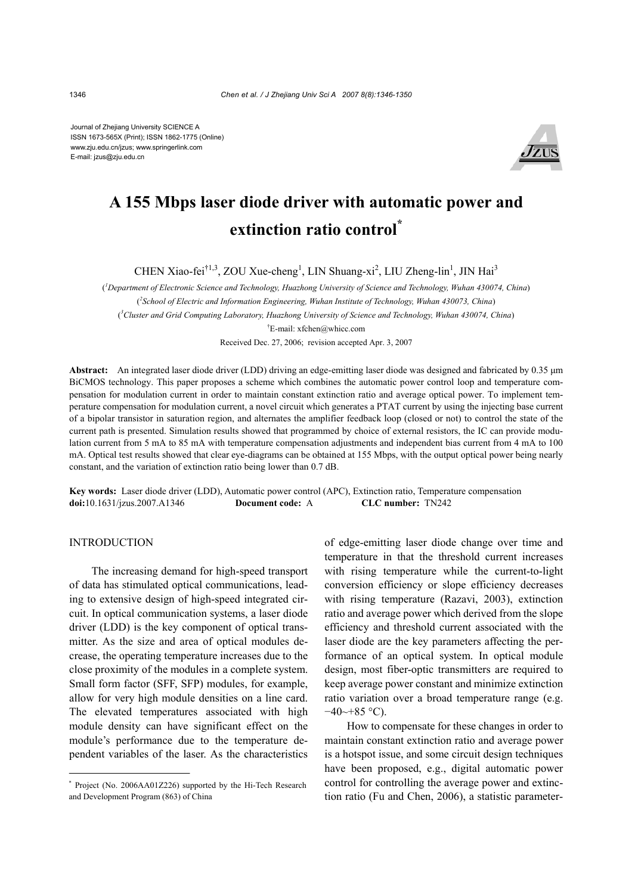Journal of Zhejiang University SCIENCE A ISSN 1673-565X (Print); ISSN 1862-1775 (Online) www.zju.edu.cn/jzus; www.springerlink.com E-mail: jzus@zju.edu.cn



# **A 155 Mbps laser diode driver with automatic power and extinction ratio control\***

CHEN Xiao-fei<sup>†1,3</sup>, ZOU Xue-cheng<sup>1</sup>, LIN Shuang-xi<sup>2</sup>, LIU Zheng-lin<sup>1</sup>, JIN Hai<sup>3</sup>

( *1 Department of Electronic Science and Technology, Huazhong University of Science and Technology, Wuhan 430074, China*) ( *2 School of Electric and Information Engineering, Wuhan Institute of Technology, Wuhan 430073, China*) ( *3 Cluster and Grid Computing Laboratory, Huazhong University of Science and Technology, Wuhan 430074, China*) † E-mail: xfchen@whicc.com

Received Dec. 27, 2006; revision accepted Apr. 3, 2007

**Abstract:** An integrated laser diode driver (LDD) driving an edge-emitting laser diode was designed and fabricated by 0.35 µm BiCMOS technology. This paper proposes a scheme which combines the automatic power control loop and temperature compensation for modulation current in order to maintain constant extinction ratio and average optical power. To implement temperature compensation for modulation current, a novel circuit which generates a PTAT current by using the injecting base current of a bipolar transistor in saturation region, and alternates the amplifier feedback loop (closed or not) to control the state of the current path is presented. Simulation results showed that programmed by choice of external resistors, the IC can provide modulation current from 5 mA to 85 mA with temperature compensation adjustments and independent bias current from 4 mA to 100 mA. Optical test results showed that clear eye-diagrams can be obtained at 155 Mbps, with the output optical power being nearly constant, and the variation of extinction ratio being lower than 0.7 dB.

**Key words:** Laser diode driver (LDD), Automatic power control (APC), Extinction ratio, Temperature compensation **doi:**10.1631/jzus.2007.A1346 **Document code:** A **CLC number:** TN242

#### **INTRODUCTION**

The increasing demand for high-speed transport of data has stimulated optical communications, leading to extensive design of high-speed integrated circuit. In optical communication systems, a laser diode driver (LDD) is the key component of optical transmitter. As the size and area of optical modules decrease, the operating temperature increases due to the close proximity of the modules in a complete system. Small form factor (SFF, SFP) modules, for example, allow for very high module densities on a line card. The elevated temperatures associated with high module density can have significant effect on the module's performance due to the temperature dependent variables of the laser. As the characteristics

of edge-emitting laser diode change over time and temperature in that the threshold current increases with rising temperature while the current-to-light conversion efficiency or slope efficiency decreases with rising temperature (Razavi, 2003), extinction ratio and average power which derived from the slope efficiency and threshold current associated with the laser diode are the key parameters affecting the performance of an optical system. In optical module design, most fiber-optic transmitters are required to keep average power constant and minimize extinction ratio variation over a broad temperature range (e.g.  $-40$ ~+85 °C).

How to compensate for these changes in order to maintain constant extinction ratio and average power is a hotspot issue, and some circuit design techniques have been proposed, e.g., digital automatic power control for controlling the average power and extinction ratio (Fu and Chen, 2006), a statistic parameter-

<sup>\*</sup> Project (No. 2006AA01Z226) supported by the Hi-Tech Research and Development Program (863) of China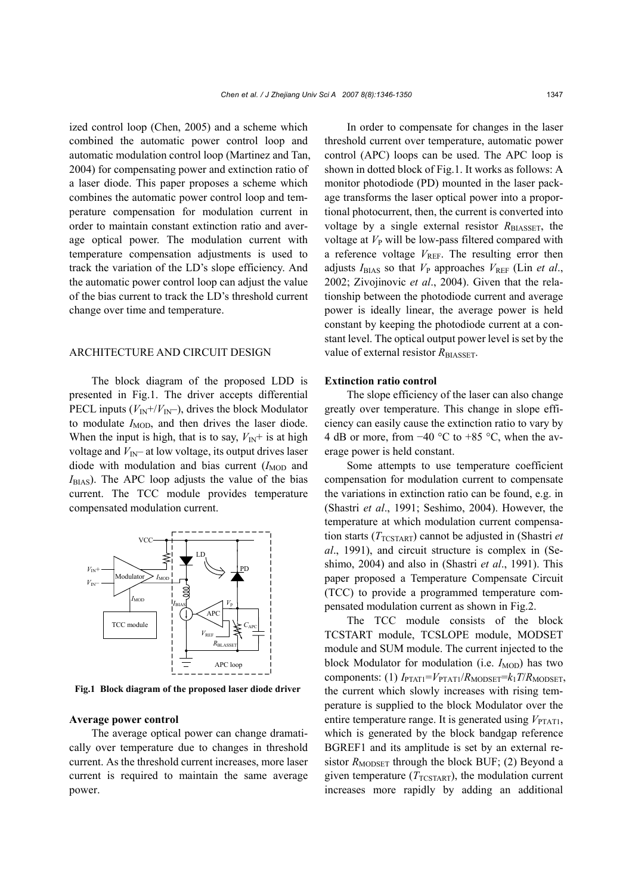ized control loop (Chen, 2005) and a scheme which combined the automatic power control loop and automatic modulation control loop (Martinez and Tan, 2004) for compensating power and extinction ratio of a laser diode. This paper proposes a scheme which combines the automatic power control loop and temperature compensation for modulation current in order to maintain constant extinction ratio and average optical power. The modulation current with temperature compensation adjustments is used to track the variation of the LD's slope efficiency. And the automatic power control loop can adjust the value of the bias current to track the LD's threshold current change over time and temperature.

#### ARCHITECTURE AND CIRCUIT DESIGN

The block diagram of the proposed LDD is presented in Fig.1. The driver accepts differential PECL inputs  $(V_{\text{IN}}+/V_{\text{IN}})$ , drives the block Modulator to modulate  $I_{\text{MOD}}$ , and then drives the laser diode. When the input is high, that is to say,  $V_{\text{IN}}$ + is at high voltage and  $V_{\text{IN}}$ – at low voltage, its output drives laser diode with modulation and bias current  $(I_{\text{MOD}}$  and  $I<sub>BIAS</sub>$ ). The APC loop adjusts the value of the bias current. The TCC module provides temperature compensated modulation current.



**Fig.1 Block diagram of the proposed laser diode driver**

#### **Average power control**

The average optical power can change dramatically over temperature due to changes in threshold current. As the threshold current increases, more laser current is required to maintain the same average power.

In order to compensate for changes in the laser threshold current over temperature, automatic power control (APC) loops can be used. The APC loop is shown in dotted block of Fig.1. It works as follows: A monitor photodiode (PD) mounted in the laser package transforms the laser optical power into a proportional photocurrent, then, the current is converted into voltage by a single external resistor *R*BIASSET, the voltage at  $V_{\rm P}$  will be low-pass filtered compared with a reference voltage  $V_{REF}$ . The resulting error then adjusts  $I_{\text{BIAS}}$  so that  $V_{\text{P}}$  approaches  $V_{\text{REF}}$  (Lin *et al.*, 2002; Zivojinovic *et al*., 2004). Given that the relationship between the photodiode current and average power is ideally linear, the average power is held constant by keeping the photodiode current at a constant level. The optical output power level is set by the value of external resistor *R*<sub>BIASSET</sub>.

#### **Extinction ratio control**

The slope efficiency of the laser can also change greatly over temperature. This change in slope efficiency can easily cause the extinction ratio to vary by 4 dB or more, from −40 °C to +85 °C, when the average power is held constant.

Some attempts to use temperature coefficient compensation for modulation current to compensate the variations in extinction ratio can be found, e.g. in (Shastri *et al*., 1991; Seshimo, 2004). However, the temperature at which modulation current compensation starts ( $T_{T\text{CSTART}}$ ) cannot be adjusted in (Shastri *et al*., 1991), and circuit structure is complex in (Seshimo, 2004) and also in (Shastri *et al*., 1991). This paper proposed a Temperature Compensate Circuit (TCC) to provide a programmed temperature compensated modulation current as shown in Fig.2.

The TCC module consists of the block TCSTART module, TCSLOPE module, MODSET module and SUM module. The current injected to the block Modulator for modulation (i.e.  $I_{\text{MOD}}$ ) has two components: (1)  $I_{\text{PTAT1}}=V_{\text{PTAT1}}/R_{\text{MODSET}}=k_1T/R_{\text{MODSET}}$ , the current which slowly increases with rising temperature is supplied to the block Modulator over the entire temperature range. It is generated using  $V_{\text{PTAT1}}$ , which is generated by the block bandgap reference BGREF1 and its amplitude is set by an external resistor  $R_{\text{MODSET}}$  through the block BUF; (2) Beyond a given temperature  $(T_{T\text{CSTART}})$ , the modulation current increases more rapidly by adding an additional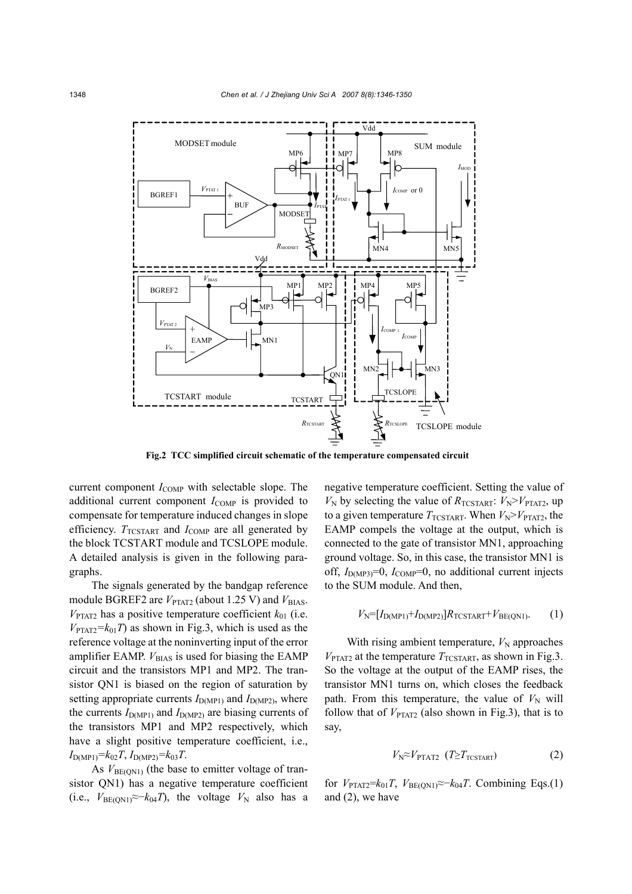

**Fig.2 TCC simplified circuit schematic of the temperature compensated circuit**

current component  $I_{\text{COMP}}$  with selectable slope. The additional current component *I*<sub>COMP</sub> is provided to compensate for temperature induced changes in slope efficiency.  $T_{T\text{CSTART}}$  and  $I_{\text{COMP}}$  are all generated by the block TCSTART module and TCSLOPE module. A detailed analysis is given in the following paragraphs.

The signals generated by the bandgap reference module BGREF2 are  $V_{\text{PTAT2}}$  (about 1.25 V) and  $V_{\text{BIAS}}$ .  $V_{\text{PTAT2}}$  has a positive temperature coefficient  $k_{01}$  (i.e.  $V_{\text{PTAT2}}=k_{01}T$  as shown in Fig.3, which is used as the reference voltage at the noninverting input of the error amplifier EAMP.  $V_{BIAS}$  is used for biasing the EAMP circuit and the transistors MP1 and MP2. The transistor QN1 is biased on the region of saturation by setting appropriate currents  $I_{D(MP1)}$  and  $I_{D(MP2)}$ , where the currents  $I_{D(MP1)}$  and  $I_{D(MP2)}$  are biasing currents of the transistors MP1 and MP2 respectively, which have a slight positive temperature coefficient, i.e.,  $I_{D(MP1)}=k_{02}T$ ,  $I_{D(MP2)}=k_{03}T$ .

As  $V_{BE(QN1)}$  (the base to emitter voltage of transistor QN1) has a negative temperature coefficient  $(i.e., V<sub>BE(ON1)</sub>≈−k<sub>04</sub>T),$  the voltage  $V<sub>N</sub>$  also has a negative temperature coefficient. Setting the value of  $V_N$  by selecting the value of  $R_{TCSTART}: V_N > V_{PTAT2}$ , up to a given temperature  $T_{\text{TCSTART}}$ . When  $V_{\text{N}} > V_{\text{PTAT2}}$ , the EAMP compels the voltage at the output, which is connected to the gate of transistor MN1, approaching ground voltage. So, in this case, the transistor MN1 is off,  $I_{D(MP3)}=0$ ,  $I_{COMP}=0$ , no additional current injects to the SUM module. And then,

#### $V_{\rm N}=[I_{\rm D(MP1)}+I_{\rm D(MP2)}]R_{\rm TCSTART}+V_{\rm BE(ON1)}$ . (1)

With rising ambient temperature,  $V_N$  approaches  $V_{\text{PTAT2}}$  at the temperature  $T_{\text{TCSTART}}$ , as shown in Fig.3. So the voltage at the output of the EAMP rises, the transistor MN1 turns on, which closes the feedback path. From this temperature, the value of  $V<sub>N</sub>$  will follow that of  $V_{\text{PTAT2}}$  (also shown in Fig.3), that is to say,

$$
V_{\rm N} \approx V_{\rm PTAT2} \quad (T \geq T_{\rm TCSTART}) \tag{2}
$$

for  $V_{\text{PTAT2}}=k_{01}T$ ,  $V_{\text{BE(ON1)}}\approx-k_{04}T$ . Combining Eqs.(1) and (2), we have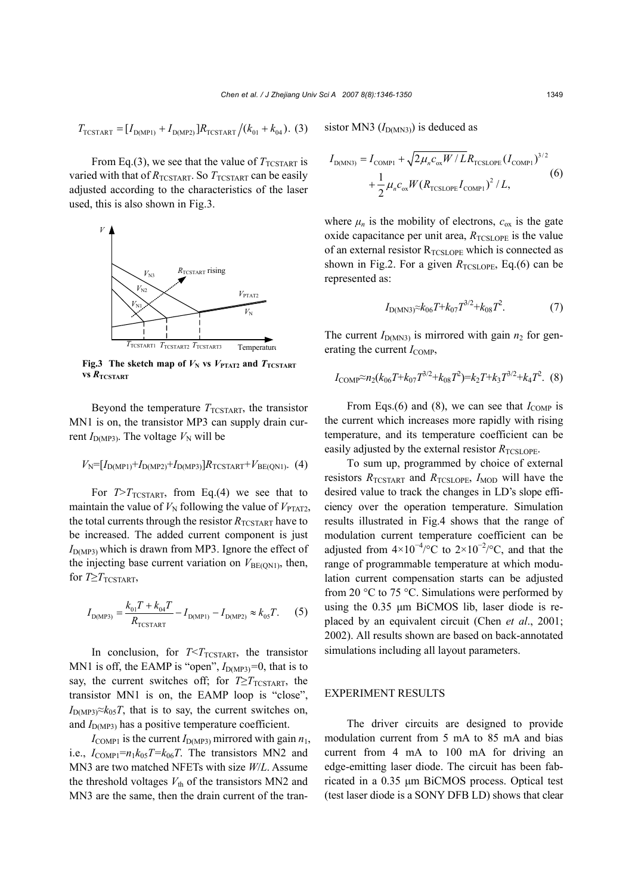$$
T_{\text{TCSTART}} = [I_{\text{D(MPI)}} + I_{\text{D(MP2)}}]R_{\text{TCSTART}}/(k_{01} + k_{04}).
$$
 (3)

From Eq.(3), we see that the value of  $T_{TCSTART}$  is varied with that of  $R_{TCSTART}$ . So  $T_{TCSTART}$  can be easily adjusted according to the characteristics of the laser used, this is also shown in Fig.3.



**Fig.3** The sketch map of  $V_N$  vs  $V_{\text{PTAT2}}$  and  $T_{\text{TCSTART}}$ **vs**  $R$ <sup>T</sup>CSTART

Beyond the temperature  $T_{\text{TCSTART}}$ , the transistor MN1 is on, the transistor MP3 can supply drain current  $I_{D(MP3)}$ . The voltage  $V_N$  will be

# $V_N = [I_{D(MP1)} + I_{D(MP2)} + I_{D(MP3)}]R_{TCSTART} + V_{BE(QN1)}$ . (4)

For  $T>T_{TCSTART}$ , from Eq.(4) we see that to maintain the value of  $V_N$  following the value of  $V_{\text{PTAT2}}$ , the total currents through the resistor  $R_{TCSTART}$  have to be increased. The added current component is just  $I_{\text{D(MP3)}}$  which is drawn from MP3. Ignore the effect of the injecting base current variation on  $V_{BE(ON1)}$ , then, for  $T \geq T$ TCSTART,

$$
I_{D(MP3)} = \frac{k_{01}T + k_{04}T}{R_{\text{TCSTART}}} - I_{D(MP1)} - I_{D(MP2)} \approx k_{05}T.
$$
 (5)

In conclusion, for  $T < T_{T\text{CSTART}}$ , the transistor MN1 is off, the EAMP is "open",  $I_{D(MP3)}=0$ , that is to say, the current switches off; for  $T \geq T_{\text{TCSTART}}$ , the transistor MN1 is on, the EAMP loop is "close",  $I_{\text{D(MP3)}} \approx k_{05}T$ , that is to say, the current switches on, and  $I_{\text{D(MP3)}}$  has a positive temperature coefficient.

 $I_{\text{COMP1}}$  is the current  $I_{\text{D(MP3)}}$  mirrored with gain  $n_1$ , i.e.,  $I_{COMPI} = n_1 k_0 s T = k_0 s T$ . The transistors MN2 and MN3 are two matched NFETs with size *W*/*L*. Assume the threshold voltages  $V_{\text{th}}$  of the transistors MN2 and MN3 are the same, then the drain current of the transistor MN3  $(I<sub>D(MN3)</sub>)$  is deduced as

$$
I_{D(MN3)} = I_{\text{COMP1}} + \sqrt{2\mu_n c_{ox} W / L} R_{\text{TCSLOPE}} (I_{\text{COMP1}})^{3/2} + \frac{1}{2} \mu_n c_{ox} W (R_{\text{TCSLOPE}} I_{\text{COMP1}})^2 / L,
$$
\n(6)

where  $\mu_n$  is the mobility of electrons,  $c_{\text{ox}}$  is the gate oxide capacitance per unit area,  $R_{\text{TCSLOPE}}$  is the value of an external resistor  $R_{TCSLOPE}$  which is connected as shown in Fig.2. For a given  $R_{\text{TCSLOPE}}$ , Eq.(6) can be represented as:

$$
I_{\text{D(MN3)}} \approx k_{06} T + k_{07} T^{3/2} + k_{08} T^2. \tag{7}
$$

The current  $I_{D(MN3)}$  is mirrored with gain  $n_2$  for generating the current  $I_{\text{COMP}}$ ,

$$
I_{\text{COMP}} \approx n_2 (k_{06} T + k_{07} T^{3/2} + k_{08} T^2) = k_2 T + k_3 T^{3/2} + k_4 T^2. \tag{8}
$$

From Eqs.(6) and (8), we can see that  $I_{\text{COMP}}$  is the current which increases more rapidly with rising temperature, and its temperature coefficient can be easily adjusted by the external resistor  $R_{\text{TCSLOPE}}$ .

To sum up, programmed by choice of external resistors  $R_{\text{TCSTART}}$  and  $R_{\text{TCSLOPE}}$ ,  $I_{\text{MOD}}$  will have the desired value to track the changes in LD's slope efficiency over the operation temperature. Simulation results illustrated in Fig.4 shows that the range of modulation current temperature coefficient can be adjusted from  $4\times10^{-4}$ /°C to  $2\times10^{-2}$ /°C, and that the range of programmable temperature at which modulation current compensation starts can be adjusted from 20  $\degree$ C to 75  $\degree$ C. Simulations were performed by using the 0.35 µm BiCMOS lib, laser diode is replaced by an equivalent circuit (Chen *et al*., 2001; 2002). All results shown are based on back-annotated simulations including all layout parameters.

### EXPERIMENT RESULTS

The driver circuits are designed to provide modulation current from 5 mA to 85 mA and bias current from 4 mA to 100 mA for driving an edge-emitting laser diode. The circuit has been fabricated in a 0.35 µm BiCMOS process. Optical test (test laser diode is a SONY DFB LD) shows that clear